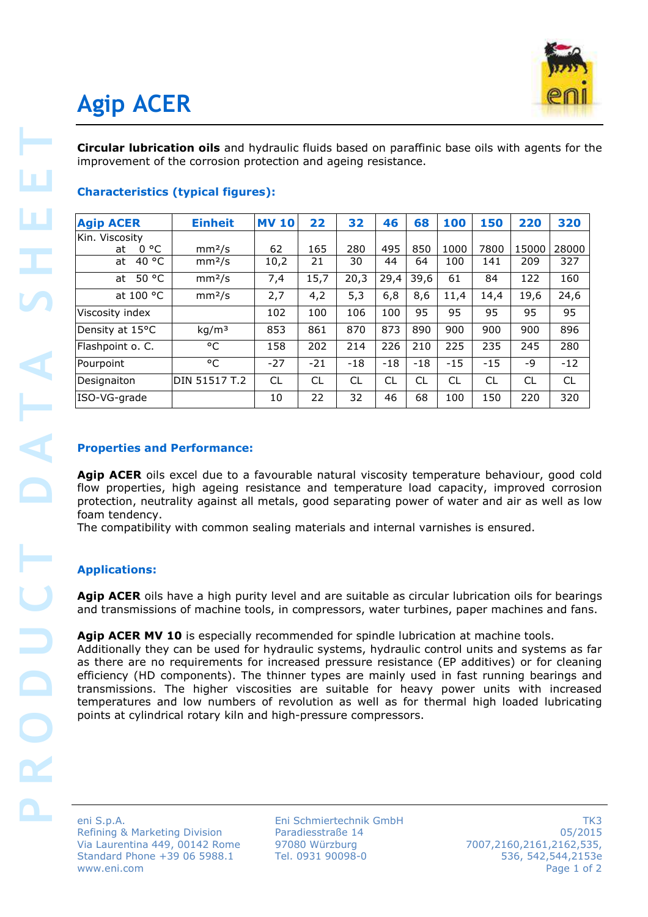

# **Agip ACER**

| <b>Agip ACER</b>                                                                                                                                                                                                                                                                                                                                                                                                                                           | <b>Einheit</b>     | <b>MV 10</b> | 22    | 32    | 46    | 68    | 100   | 150   | 220   | 320   |
|------------------------------------------------------------------------------------------------------------------------------------------------------------------------------------------------------------------------------------------------------------------------------------------------------------------------------------------------------------------------------------------------------------------------------------------------------------|--------------------|--------------|-------|-------|-------|-------|-------|-------|-------|-------|
| Kin. Viscosity                                                                                                                                                                                                                                                                                                                                                                                                                                             |                    |              |       |       |       |       |       |       |       |       |
| 0 °C<br>at                                                                                                                                                                                                                                                                                                                                                                                                                                                 | mm <sup>2</sup> /s | 62           | 165   | 280   | 495   | 850   | 1000  | 7800  | 15000 | 28000 |
| at $40 °C$                                                                                                                                                                                                                                                                                                                                                                                                                                                 | mm <sup>2</sup> /s | 10,2         | 21    | 30    | 44    | 64    | 100   | 141   | 209   | 327   |
| at $50 °C$                                                                                                                                                                                                                                                                                                                                                                                                                                                 | mm <sup>2</sup> /s | 7,4          | 15,7  | 20,3  | 29,4  | 39,6  | 61    | 84    | 122   | 160   |
| at 100 °C                                                                                                                                                                                                                                                                                                                                                                                                                                                  | mm <sup>2</sup> /s | 2,7          | 4,2   | 5,3   | 6,8   | 8,6   | 11,4  | 14,4  | 19,6  | 24,6  |
| Viscosity index                                                                                                                                                                                                                                                                                                                                                                                                                                            |                    | 102          | 100   | 106   | 100   | 95    | 95    | 95    | 95    | 95    |
| Density at 15°C                                                                                                                                                                                                                                                                                                                                                                                                                                            | kg/m <sup>3</sup>  | 853          | 861   | 870   | 873   | 890   | 900   | 900   | 900   | 896   |
| Flashpoint o. C.                                                                                                                                                                                                                                                                                                                                                                                                                                           | $\overline{c}$     | 158          | 202   | 214   | 226   | 210   | 225   | 235   | 245   | 280   |
| Pourpoint                                                                                                                                                                                                                                                                                                                                                                                                                                                  | °C                 | $-27$        | $-21$ | $-18$ | $-18$ | $-18$ | $-15$ | $-15$ | -9    | $-12$ |
|                                                                                                                                                                                                                                                                                                                                                                                                                                                            |                    |              | CL    |       |       |       |       |       | CL    | CL    |
| Designaiton                                                                                                                                                                                                                                                                                                                                                                                                                                                | DIN 51517 T.2      | CL           |       | CL    | CL    | CL    | CL    | CL    |       |       |
| ISO-VG-grade<br><b>Properties and Performance:</b><br>Agip ACER oils excel due to a favourable natural viscosity temperature behaviour, good cold<br>flow properties, high ageing resistance and temperature load capacity, improved corrosion<br>protection, neutrality against all metals, good separating power of water and air as well as low<br>foam tendency.<br>The compatibility with common sealing materials and internal varnishes is ensured. |                    | 10           | 22    | 32    | 46    | 68    | 100   | 150   | 220   |       |
|                                                                                                                                                                                                                                                                                                                                                                                                                                                            |                    |              |       |       |       |       |       |       |       |       |
| <b>Applications:</b>                                                                                                                                                                                                                                                                                                                                                                                                                                       |                    |              |       |       |       |       |       |       |       |       |
| Agip ACER oils have a high purity level and are suitable as circular lubrication oils for bearings<br>and transmissions of machine tools, in compressors, water turbines, paper machines and fans.                                                                                                                                                                                                                                                         |                    |              |       |       |       |       |       |       |       | 320   |

# **Characteristics (typical figures):**

## **Properties and Performance:**

## **Applications:**

### Agip ACER MV 10 is especially recommended for spindle lubrication at machine tools.

Eni Schmiertechnik GmbH Paradiesstraße 14 97080 Würzburg Tel. 0931 90098-0